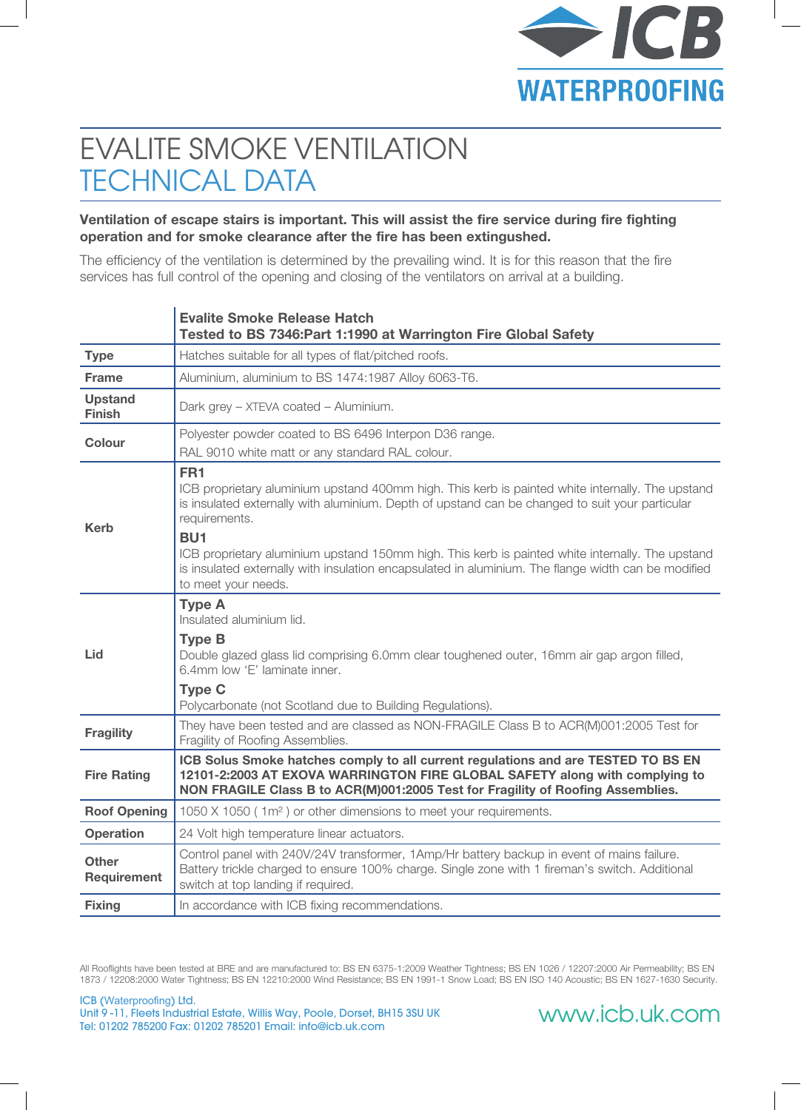

# EVALITE SMOKE VENTILATION TECHNICAL DATA

#### **Ventilation of escape stairs is important. This will assist the fire service during fire fighting operation and for smoke clearance after the fire has been extingushed.**

The efficiency of the ventilation is determined by the prevailing wind. It is for this reason that the fire services has full control of the opening and closing of the ventilators on arrival at a building.

|                                 | <b>Evalite Smoke Release Hatch</b><br>Tested to BS 7346: Part 1:1990 at Warrington Fire Global Safety                                                                                                                                                                                                                                                                                                                                                                 |
|---------------------------------|-----------------------------------------------------------------------------------------------------------------------------------------------------------------------------------------------------------------------------------------------------------------------------------------------------------------------------------------------------------------------------------------------------------------------------------------------------------------------|
| <b>Type</b>                     | Hatches suitable for all types of flat/pitched roofs.                                                                                                                                                                                                                                                                                                                                                                                                                 |
| <b>Frame</b>                    | Aluminium, aluminium to BS 1474:1987 Alloy 6063-T6.                                                                                                                                                                                                                                                                                                                                                                                                                   |
| <b>Upstand</b><br><b>Finish</b> | Dark grey - XTEVA coated - Aluminium.                                                                                                                                                                                                                                                                                                                                                                                                                                 |
| <b>Colour</b>                   | Polyester powder coated to BS 6496 Interpon D36 range.                                                                                                                                                                                                                                                                                                                                                                                                                |
|                                 | RAL 9010 white matt or any standard RAL colour.                                                                                                                                                                                                                                                                                                                                                                                                                       |
| Kerb                            | FR <sub>1</sub><br>ICB proprietary aluminium upstand 400mm high. This kerb is painted white internally. The upstand<br>is insulated externally with aluminium. Depth of upstand can be changed to suit your particular<br>requirements.<br>BU <sub>1</sub><br>ICB proprietary aluminium upstand 150mm high. This kerb is painted white internally. The upstand<br>is insulated externally with insulation encapsulated in aluminium. The flange width can be modified |
|                                 | to meet your needs.                                                                                                                                                                                                                                                                                                                                                                                                                                                   |
| Lid                             | <b>Type A</b><br>Insulated aluminium lid.                                                                                                                                                                                                                                                                                                                                                                                                                             |
|                                 | <b>Type B</b><br>Double glazed glass lid comprising 6.0mm clear toughened outer, 16mm air gap argon filled,<br>6.4mm low 'E' laminate inner.                                                                                                                                                                                                                                                                                                                          |
|                                 | <b>Type C</b><br>Polycarbonate (not Scotland due to Building Regulations).                                                                                                                                                                                                                                                                                                                                                                                            |
| <b>Fragility</b>                | They have been tested and are classed as NON-FRAGILE Class B to ACR(M)001:2005 Test for<br>Fragility of Roofing Assemblies.                                                                                                                                                                                                                                                                                                                                           |
| <b>Fire Rating</b>              | ICB Solus Smoke hatches comply to all current regulations and are TESTED TO BS EN<br>12101-2:2003 AT EXOVA WARRINGTON FIRE GLOBAL SAFETY along with complying to<br>NON FRAGILE Class B to ACR(M)001:2005 Test for Fragility of Roofing Assemblies.                                                                                                                                                                                                                   |
| <b>Roof Opening</b>             | 1050 X 1050 (1m <sup>2</sup> ) or other dimensions to meet your requirements.                                                                                                                                                                                                                                                                                                                                                                                         |
| <b>Operation</b>                | 24 Volt high temperature linear actuators.                                                                                                                                                                                                                                                                                                                                                                                                                            |
| <b>Other</b><br>Requirement     | Control panel with 240V/24V transformer, 1Amp/Hr battery backup in event of mains failure.<br>Battery trickle charged to ensure 100% charge. Single zone with 1 fireman's switch. Additional<br>switch at top landing if required.                                                                                                                                                                                                                                    |
| <b>Fixing</b>                   | In accordance with ICB fixing recommendations.                                                                                                                                                                                                                                                                                                                                                                                                                        |

All Rooflights have been tested at BRE and are manufactured to: BS EN 6375-1:2009 Weather Tightness; BS EN 1026 / 12207:2000 Air Permeability; BS EN 1873 / 12208:2000 Water Tightness; BS EN 12210:2000 Wind Resistance; BS EN 1991-1 Snow Load; BS EN ISO 140 Acoustic; BS EN 1627-1630 Security.